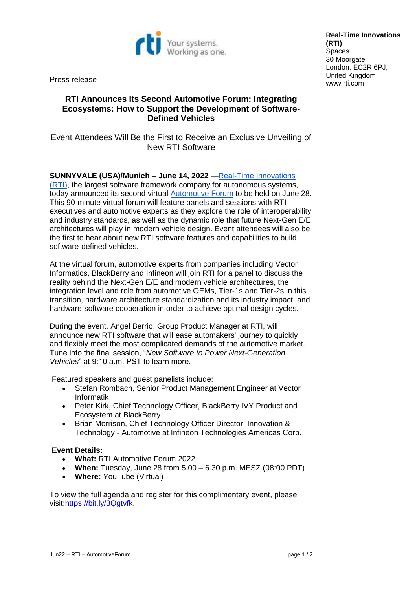

Press release

## **RTI Announces Its Second Automotive Forum: Integrating Ecosystems: How to Support the Development of Software-Defined Vehicles**

Event Attendees Will Be the First to Receive an Exclusive Unveiling of New RTI Software

**SUNNYVALE (USA)/Munich – June 14, 2022** [—Real-Time Innovations](https://www.rti.com/en/)  [\(RTI\),](https://www.rti.com/en/) the largest software framework company for autonomous systems, today announced its second virtual [Automotive Forum](https://www.rti.com/company/events/automotive-forum-2022) to be held on June 28. This 90-minute virtual forum will feature panels and sessions with RTI executives and automotive experts as they explore the role of interoperability and industry standards, as well as the dynamic role that future Next-Gen E/E architectures will play in modern vehicle design. Event attendees will also be the first to hear about new RTI software features and capabilities to build software-defined vehicles.

At the virtual forum, automotive experts from companies including Vector Informatics, BlackBerry and Infineon will join RTI for a panel to discuss the reality behind the Next-Gen E/E and modern vehicle architectures, the integration level and role from automotive OEMs, Tier-1s and Tier-2s in this transition, hardware architecture standardization and its industry impact, and hardware-software cooperation in order to achieve optimal design cycles.

During the event, Angel Berrio, Group Product Manager at RTI, will announce new RTI software that will ease automakers' journey to quickly and flexibly meet the most complicated demands of the automotive market. Tune into the final session, "*New Software to Power Next-Generation Vehicles*" at 9:10 a.m. PST to learn more.

Featured speakers and guest panelists include:

- Stefan Rombach, Senior Product Management Engineer at Vector Informatik
- Peter Kirk, Chief Technology Officer, BlackBerry IVY Product and Ecosystem at BlackBerry
- Brian Morrison, Chief Technology Officer Director, Innovation & Technology - Automotive at Infineon Technologies Americas Corp.

## **Event Details:**

- **What:** RTI Automotive Forum 2022
- **When:** Tuesday, June 28 from 5.00 6.30 p.m. MESZ (08:00 PDT)
- **Where:** YouTube (Virtual)

To view the full agenda and register for this complimentary event, please visit[:https://bit.ly/3Qgtvfk.](https://bit.ly/3Qgtvfk)